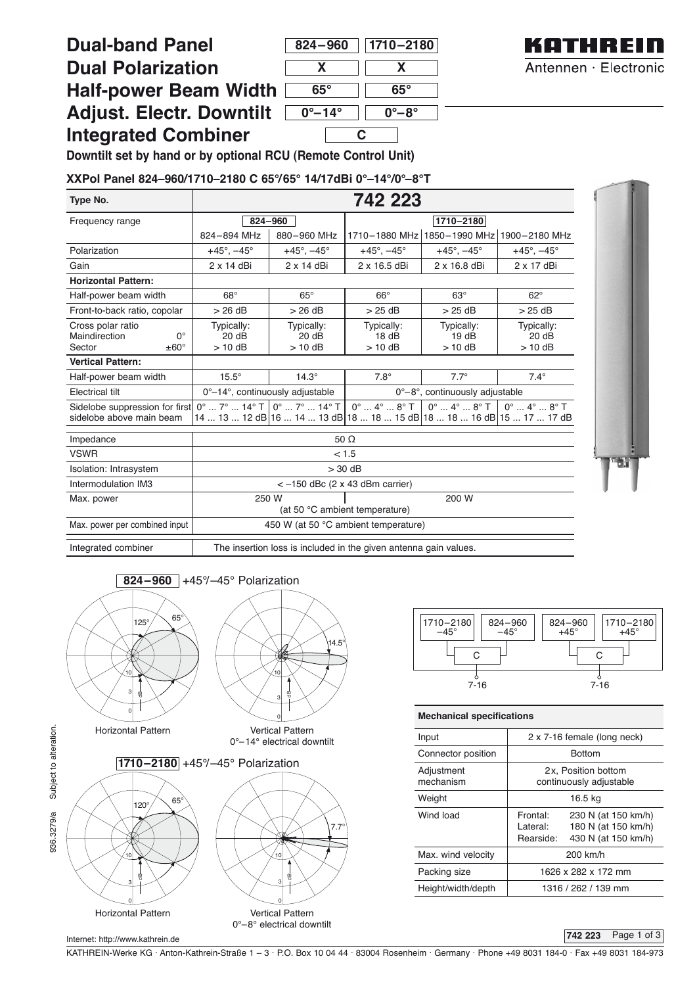# **Dual-band Panel**

| $824 - 960$              | $ 1710 - 2180 $           |  |  |  |
|--------------------------|---------------------------|--|--|--|
| X                        | X                         |  |  |  |
| 65°                      | 65°                       |  |  |  |
| $0^{\circ} - 14^{\circ}$ | $0^\circ\text{--}8^\circ$ |  |  |  |
|                          |                           |  |  |  |



## **Dual Polarization Half-power Beam Width Adjust. Electr. Downtilt Integrated Combiner**

**Downtilt set by hand or by optional RCU (Remote Control Unit)**

### **XXPol Panel 824–960/1710–2180 C 65°/65° 14/17dBi 0°–14°/0°–8°T**

| Type No.                                                                             | 742 223                                                          |                                 |                                                                                                                                                                                                                                           |                                |                                                                                             |  |
|--------------------------------------------------------------------------------------|------------------------------------------------------------------|---------------------------------|-------------------------------------------------------------------------------------------------------------------------------------------------------------------------------------------------------------------------------------------|--------------------------------|---------------------------------------------------------------------------------------------|--|
| Frequency range                                                                      | 824-960                                                          |                                 | 1710-2180                                                                                                                                                                                                                                 |                                |                                                                                             |  |
|                                                                                      | 824-894 MHz                                                      | 880-960 MHz                     | 1710-1880 MHz                                                                                                                                                                                                                             | 1850-1990 MHz 1900-2180 MHz    |                                                                                             |  |
| Polarization                                                                         | $+45^{\circ}$ , $-45^{\circ}$                                    | $+45^{\circ}$ , $-45^{\circ}$   | $+45^{\circ}$ , $-45^{\circ}$                                                                                                                                                                                                             | $+45^{\circ}$ , $-45^{\circ}$  | $+45^{\circ}$ , $-45^{\circ}$                                                               |  |
| Gain                                                                                 | 2 x 14 dBi                                                       | $2 \times 14$ dBi               | 2 x 16.5 dBi                                                                                                                                                                                                                              | 2 x 16.8 dBi                   | $2 \times 17$ dBi                                                                           |  |
| <b>Horizontal Pattern:</b>                                                           |                                                                  |                                 |                                                                                                                                                                                                                                           |                                |                                                                                             |  |
| Half-power beam width                                                                | $68^\circ$                                                       | $65^\circ$                      | $66^\circ$                                                                                                                                                                                                                                | $63^\circ$                     | $62^\circ$                                                                                  |  |
| Front-to-back ratio, copolar                                                         | >26 dB                                                           | >26 dB                          | $>25$ dB                                                                                                                                                                                                                                  | >25dB                          | $>25$ dB                                                                                    |  |
| Cross polar ratio<br>$\Omega^{\circ}$<br>Maindirection<br>Sector<br>$\pm 60^{\circ}$ | Typically:<br>20 dB<br>$> 10$ dB                                 | Typically:<br>20 dB<br>$>10$ dB | Typically:<br>18dB<br>$> 10$ dB                                                                                                                                                                                                           | Typically:<br>19dB<br>$>10$ dB | Typically:<br>20 dB<br>$>$ 10 dB                                                            |  |
| <b>Vertical Pattern:</b>                                                             |                                                                  |                                 |                                                                                                                                                                                                                                           |                                |                                                                                             |  |
| Half-power beam width                                                                | $15.5^\circ$                                                     | $14.3^\circ$                    | $7.8^\circ$                                                                                                                                                                                                                               | $7.7^\circ$                    | $7.4^\circ$                                                                                 |  |
| Electrical tilt                                                                      | 0°-14°, continuously adjustable                                  |                                 | 0°-8°, continuously adjustable                                                                                                                                                                                                            |                                |                                                                                             |  |
| Sidelobe suppression for first<br>sidelobe above main beam                           |                                                                  |                                 | $0^{\circ}$ $7^{\circ}$ $14^{\circ}$ T $\overline{0^{\circ}}$ $7^{\circ}$ $14^{\circ}$ T $\overline{0^{\circ}}$ $4^{\circ}$ $8^{\circ}$ T $\overline{0^{\circ}}$<br>14  13  12 dB 16  14  13 dB 18  18  15 dB 18  18  16 dB 15  17  17 dB |                                | $0^{\circ}$ $4^{\circ}$ $8^{\circ}$ T $\begin{bmatrix} 0^{\circ}$ $4^{\circ}$ $8^{\circ}$ T |  |
| Impedance                                                                            | 50 <sub>o</sub>                                                  |                                 |                                                                                                                                                                                                                                           |                                |                                                                                             |  |
| <b>VSWR</b>                                                                          | < 1.5                                                            |                                 |                                                                                                                                                                                                                                           |                                |                                                                                             |  |
| Isolation: Intrasystem                                                               | $> 30$ dB                                                        |                                 |                                                                                                                                                                                                                                           |                                |                                                                                             |  |
| Intermodulation IM3                                                                  | $<-150$ dBc (2 x 43 dBm carrier)                                 |                                 |                                                                                                                                                                                                                                           |                                |                                                                                             |  |
| Max. power                                                                           | 200 W<br>250 W<br>(at 50 °C ambient temperature)                 |                                 |                                                                                                                                                                                                                                           |                                |                                                                                             |  |
| Max. power per combined input                                                        | 450 W (at 50 °C ambient temperature)                             |                                 |                                                                                                                                                                                                                                           |                                |                                                                                             |  |
| Integrated combiner                                                                  | The insertion loss is included in the given antenna gain values. |                                 |                                                                                                                                                                                                                                           |                                |                                                                                             |  |







0°–8° electrical downtilt

dB

10

3

Horizontal Pattern **Vertical Pattern** 



#### **Mechanical specifications**

| Input                   | 2 x 7-16 female (long neck)                    |                                                                   |  |  |
|-------------------------|------------------------------------------------|-------------------------------------------------------------------|--|--|
| Connector position      | <b>Bottom</b>                                  |                                                                   |  |  |
| Adjustment<br>mechanism | 2x, Position bottom<br>continuously adjustable |                                                                   |  |  |
| Weight                  | 16.5 kg                                        |                                                                   |  |  |
| Wind load               | Frontal:<br>Lateral:<br>Rearside:              | 230 N (at 150 km/h)<br>180 N (at 150 km/h)<br>430 N (at 150 km/h) |  |  |
| Max. wind velocity      | 200 km/h                                       |                                                                   |  |  |
| Packing size            | 1626 x 282 x 172 mm                            |                                                                   |  |  |
| Height/width/depth      | 1316 / 262 / 139 mm                            |                                                                   |  |  |

#### **742 223** Page 1 of 3

936.3279/a Subject to alteration. 936.3279/a Subject to alteration.

Internet: http://www.kathrein.de

e

10

3  $\overline{0}$ 

KATHREIN-Werke KG . Anton-Kathrein-Straße 1 – 3 . P.O. Box 10 04 44 . 83004 Rosenheim . Germany . Phone +49 8031 184-0 . Fax +49 8031 184-973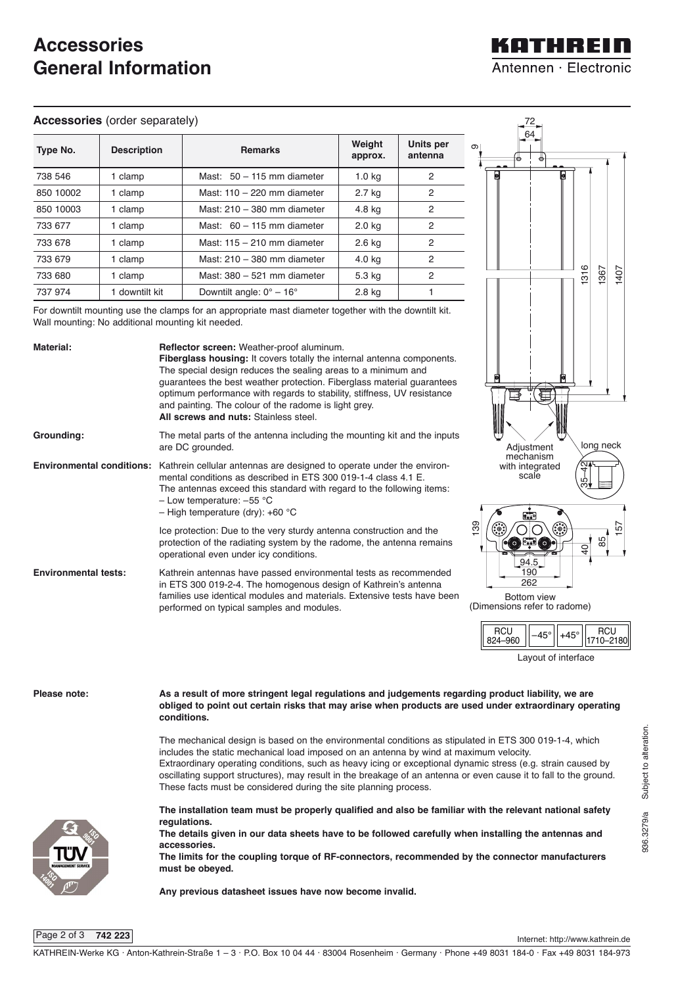## **Accessories General Information**

#### **Accessories** (order separately)

| Type No.  | <b>Description</b> | <b>Remarks</b>                       | Weight<br>approx. | Units per<br>antenna |
|-----------|--------------------|--------------------------------------|-------------------|----------------------|
| 738 546   | 1 clamp            | Mast: $50 - 115$ mm diameter         | 1.0 <sub>kq</sub> | $\overline{2}$       |
| 850 10002 | 1 clamp            | Mast: $110 - 220$ mm diameter        | 2.7 kg            | 2                    |
| 850 10003 | 1 clamp            | Mast: 210 - 380 mm diameter          | 4.8 kg            | $\overline{2}$       |
| 733 677   | 1 clamp            | Mast: $60 - 115$ mm diameter         | 2.0 kg            | $\overline{2}$       |
| 733 678   | 1 clamp            | Mast: $115 - 210$ mm diameter        | 2.6 kg            | $\overline{2}$       |
| 733 679   | 1 clamp            | Mast: 210 - 380 mm diameter          | 4.0 kg            | $\overline{2}$       |
| 733 680   | 1 clamp            | Mast: 380 - 521 mm diameter          | 5.3 kg            | 2                    |
| 737 974   | 1 downtilt kit     | Downtilt angle: $0^\circ - 16^\circ$ | 2.8 kg            |                      |

For downtilt mounting use the clamps for an appropriate mast diameter together with the downtilt kit. Wall mounting: No additional mounting kit needed.







Layout of interface



Page 2 of 3 **742 223**

Internet: http://www.kathrein.de

**Any previous datasheet issues have now become invalid.** 

KOTHREIN Antennen · Electronic

72